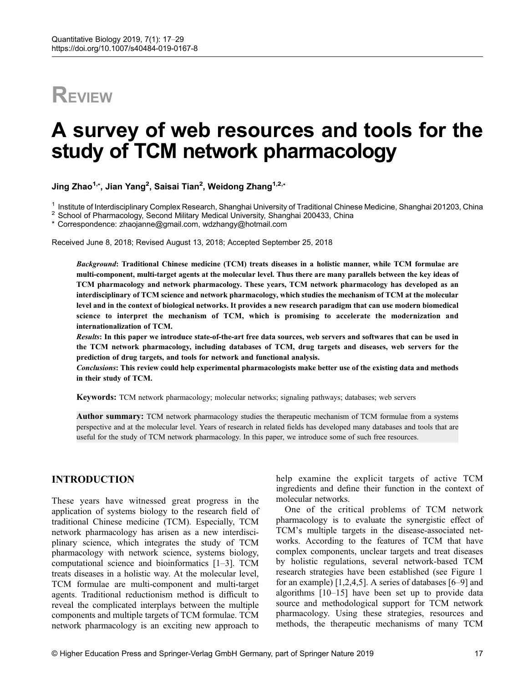# **REVIEW**

# A survey of web resources and tools for the study of TCM network pharmacology

Jing Zhao<sup>1,</sup>\*, Jian Yang<sup>2</sup>, Saisai Tian<sup>2</sup>, Weidong Zhang<sup>1,2,</sup>\*

<sup>1</sup> Institute of Interdisciplinary Complex Research, Shanghai University of Traditional Chinese Medicine, Shanghai 201203, China  $^2$  School of Pharmacology, Second Military Medical University, Shanghai 200433, China

\* Correspondence: zhaojanne@gmail.com, wdzhangy@hotmail.com

Received June 8, 2018; Revised August 13, 2018; Accepted September 25, 2018

Background: Traditional Chinese medicine (TCM) treats diseases in a holistic manner, while TCM formulae are multi-component, multi-target agents at the molecular level. Thus there are many parallels between the key ideas of TCM pharmacology and network pharmacology. These years, TCM network pharmacology has developed as an interdisciplinary of TCM science and network pharmacology, which studies the mechanism of TCM at the molecular level and in the context of biological networks. It provides a new research paradigm that can use modern biomedical science to interpret the mechanism of TCM, which is promising to accelerate the modernization and internationalization of TCM.

Results: In this paper we introduce state-of-the-art free data sources, web servers and softwares that can be used in the TCM network pharmacology, including databases of TCM, drug targets and diseases, web servers for the prediction of drug targets, and tools for network and functional analysis.

Conclusions: This review could help experimental pharmacologists make better use of the existing data and methods in their study of TCM.

Keywords: TCM network pharmacology; molecular networks; signaling pathways; databases; web servers

Author summary: TCM network pharmacology studies the therapeutic mechanism of TCM formulae from a systems perspective and at the molecular level. Years of research in related fields has developed many databases and tools that are useful for the study of TCM network pharmacology. In this paper, we introduce some of such free resources.

#### INTRODUCTION

These years have witnessed great progress in the application of systems biology to the research field of traditional Chinese medicine (TCM). Especially, TCM network pharmacology has arisen as a new interdisciplinary science, which integrates the study of TCM pharmacology with network science, systems biology, computational science and bioinformatics [\[1](#page-9-0)–[3\]](#page-9-0). TCM treats diseases in a holistic way. At the molecular level, TCM formulae are multi-component and multi-target agents. Traditional reductionism method is difficult to reveal the complicated interplays between the multiple components and multiple targets of TCM formulae. TCM network pharmacology is an exciting new approach to

help examine the explicit targets of active TCM ingredients and define their function in the context of molecular networks.

One of the critical problems of TCM network pharmacology is to evaluate the synergistic effect of TCM's multiple targets in the disease-associated networks. According to the features of TCM that have complex components, unclear targets and treat diseases by holistic regulations, several network-based TCM research strategies have been established (see Figure 1 for an example) [[1](#page-9-0),[2,4,5\]](#page-9-0). A series of databases [[6](#page-9-0)–[9\]](#page-9-0) and algorithms [\[10](#page-9-0)–[15\]](#page-9-0) have been set up to provide data source and methodological support for TCM network pharmacology. Using these strategies, resources and methods, the therapeutic mechanisms of many TCM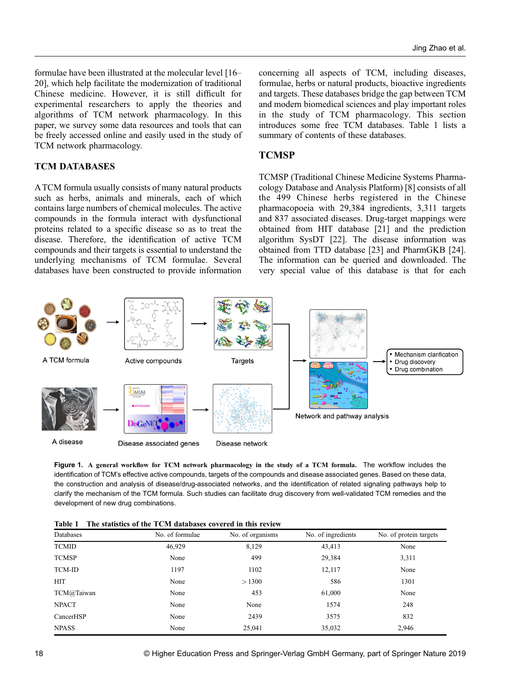formulae have been illustrated at the molecular level [\[16](#page-10-0)– [20](#page-10-0)], which help facilitate the modernization of traditional Chinese medicine. However, it is still difficult for experimental researchers to apply the theories and algorithms of TCM network pharmacology. In this paper, we survey some data resources and tools that can be freely accessed online and easily used in the study of TCM network pharmacology.

#### TCM DATABASES

ATCM formula usually consists of many natural products such as herbs, animals and minerals, each of which contains large numbers of chemical molecules. The active compounds in the formula interact with dysfunctional proteins related to a specific disease so as to treat the disease. Therefore, the identification of active TCM compounds and their targets is essential to understand the underlying mechanisms of TCM formulae. Several databases have been constructed to provide information

concerning all aspects of TCM, including diseases, formulae, herbs or natural products, bioactive ingredients and targets. These databases bridge the gap between TCM and modern biomedical sciences and play important roles in the study of TCM pharmacology. This section introduces some free TCM databases. Table 1 lists a summary of contents of these databases.

# **TCMSP**

TCMSP (Traditional Chinese Medicine Systems Pharmacology Database and Analysis Platform) [[8](#page-9-0)] consists of all the 499 Chinese herbs registered in the Chinese pharmacopoeia with 29,384 ingredients, 3,311 targets and 837 associated diseases. Drug-target mappings were obtained from HIT database [[21](#page-10-0)] and the prediction algorithm SysDT [[22](#page-10-0)]. The disease information was obtained from TTD database [\[23\]](#page-10-0) and PharmGKB [\[24\]](#page-10-0). The information can be queried and downloaded. The very special value of this database is that for each



Figure 1. A general workflow for TCM network pharmacology in the study of a TCM formula. The workflow includes the identification of TCM's effective active compounds, targets of the compounds and disease associated genes. Based on these data, the construction and analysis of disease/drug-associated networks, and the identification of related signaling pathways help to clarify the mechanism of the TCM formula. Such studies can facilitate drug discovery from well-validated TCM remedies and the development of new drug combinations.

|  | Table 1 The statistics of the TCM databases covered in this review |  |  |  |  |  |  |  |
|--|--------------------------------------------------------------------|--|--|--|--|--|--|--|
|--|--------------------------------------------------------------------|--|--|--|--|--|--|--|

| Databases     | No. of formulae | No. of organisms | No. of ingredients | No. of protein targets |
|---------------|-----------------|------------------|--------------------|------------------------|
| <b>TCMID</b>  | 46,929          | 8,129            | 43,413             | None                   |
| <b>TCMSP</b>  | None            | 499              | 29,384             | 3,311                  |
| <b>TCM-ID</b> | 1197            | 1102             | 12,117             | None                   |
| <b>HIT</b>    | None            | >1300            | 586                | 1301                   |
| TCM@Taiwan    | None            | 453              | 61,000             | None                   |
| <b>NPACT</b>  | None            | None             | 1574               | 248                    |
| CancerHSP     | None            | 2439             | 3575               | 832                    |
| <b>NPASS</b>  | None            | 25,041           | 35,032             | 2,946                  |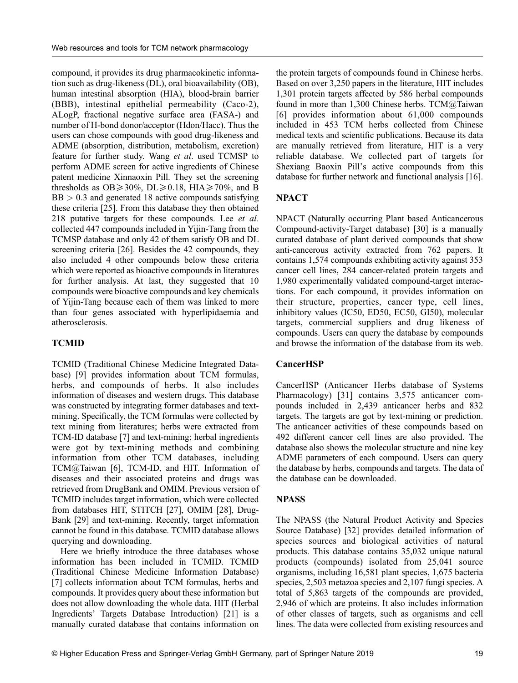compound, it provides its drug pharmacokinetic information such as drug-likeness (DL), oral bioavailability (OB), human intestinal absorption (HIA), blood-brain barrier (BBB), intestinal epithelial permeability (Caco-2), ALogP, fractional negative surface area (FASA-) and number of H-bond donor/acceptor (Hdon/Hacc). Thus the users can chose compounds with good drug-likeness and ADME (absorption, distribution, metabolism, excretion) feature for further study. Wang et al. used TCMSP to perform ADME screen for active ingredients of Chinese patent medicine Xinnaoxin Pill. They set the screening thresholds as  $OB \geq 30\%$ ,  $DL \geq 0.18$ ,  $HIA \geq 70\%$ , and B  $BB > 0.3$  and generated 18 active compounds satisfying these criteria [\[25](#page-10-0)]. From this database they then obtained 218 putative targets for these compounds. Lee et al. collected 447 compounds included in Yijin-Tang from the TCMSP database and only 42 of them satisfy OB and DL screening criteria [[26](#page-10-0)]. Besides the 42 compounds, they also included 4 other compounds below these criteria which were reported as bioactive compounds in literatures for further analysis. At last, they suggested that 10 compounds were bioactive compounds and key chemicals of Yijin-Tang because each of them was linked to more than four genes associated with hyperlipidaemia and atherosclerosis.

#### **TCMID**

TCMID (Traditional Chinese Medicine Integrated Database) [\[9\]](#page-9-0) provides information about TCM formulas, herbs, and compounds of herbs. It also includes information of diseases and western drugs. This database was constructed by integrating former databases and textmining. Specifically, the TCM formulas were collected by text mining from literatures; herbs were extracted from TCM-ID database [[7\]](#page-9-0) and text-mining; herbal ingredients were got by text-mining methods and combining information from other TCM databases, including TCM@Taiwan [\[6\]](#page-9-0), TCM-ID, and HIT. Information of diseases and their associated proteins and drugs was retrieved from DrugBank and OMIM. Previous version of TCMID includes target information, which were collected from databases HIT, STITCH [[27](#page-10-0)], OMIM [\[28\]](#page-10-0), Drug-Bank [[29](#page-10-0)] and text-mining. Recently, target information cannot be found in this database. TCMID database allows querying and downloading.

Here we briefly introduce the three databases whose information has been included in TCMID. TCMID (Traditional Chinese Medicine Information Database) [[7](#page-9-0)] collects information about TCM formulas, herbs and compounds. It provides query about these information but does not allow downloading the whole data. HIT (Herbal Ingredients' Targets Database Introduction) [\[21](#page-10-0)] is a manually curated database that contains information on

the protein targets of compounds found in Chinese herbs. Based on over 3,250 papers in the literature, HIT includes 1,301 protein targets affected by 586 herbal compounds found in more than 1,300 Chinese herbs. TCM@Taiwan [[6](#page-9-0)] provides information about 61,000 compounds included in 453 TCM herbs collected from Chinese medical texts and scientific publications. Because its data are manually retrieved from literature, HIT is a very reliable database. We collected part of targets for Shexiang Baoxin Pill's active compounds from this database for further network and functional analysis [\[16\]](#page-10-0).

#### **NPACT**

NPACT (Naturally occurring Plant based Anticancerous Compound-activity-Target database) [[30](#page-10-0)] is a manually curated database of plant derived compounds that show anti-cancerous activity extracted from 762 papers. It contains 1,574 compounds exhibiting activity against 353 cancer cell lines, 284 cancer-related protein targets and 1,980 experimentally validated compound-target interactions. For each compound, it provides information on their structure, properties, cancer type, cell lines, inhibitory values (IC50, ED50, EC50, GI50), molecular targets, commercial suppliers and drug likeness of compounds. Users can query the database by compounds and browse the information of the database from its web.

#### CancerHSP

CancerHSP (Anticancer Herbs database of Systems Pharmacology) [[31](#page-10-0)] contains 3,575 anticancer compounds included in 2,439 anticancer herbs and 832 targets. The targets are got by text-mining or prediction. The anticancer activities of these compounds based on 492 different cancer cell lines are also provided. The database also shows the molecular structure and nine key ADME parameters of each compound. Users can query the database by herbs, compounds and targets. The data of the database can be downloaded.

#### NPASS

The NPASS (the Natural Product Activity and Species Source Database) [\[32\]](#page-10-0) provides detailed information of species sources and biological activities of natural products. This database contains 35,032 unique natural products (compounds) isolated from 25,041 source organisms, including 16,581 plant species, 1,675 bacteria species, 2,503 metazoa species and 2,107 fungi species. A total of 5,863 targets of the compounds are provided, 2,946 of which are proteins. It also includes information of other classes of targets, such as organisms and cell lines. The data were collected from existing resources and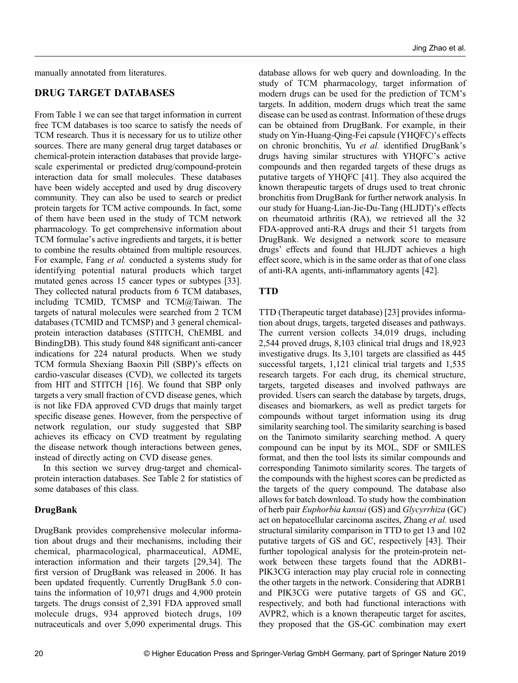manually annotated from literatures.

# DRUG TARGET DATABASES

From Table 1 we can see that target information in current free TCM databases is too scarce to satisfy the needs of TCM research. Thus it is necessary for us to utilize other sources. There are many general drug target databases or chemical-protein interaction databases that provide largescale experimental or predicted drug/compound-protein interaction data for small molecules. These databases have been widely accepted and used by drug discovery community. They can also be used to search or predict protein targets for TCM active compounds. In fact, some of them have been used in the study of TCM network pharmacology. To get comprehensive information about TCM formulae's active ingredients and targets, it is better to combine the results obtained from multiple resources. For example, Fang et al. conducted a systems study for identifying potential natural products which target mutated genes across 15 cancer types or subtypes [\[33\]](#page-10-0). They collected natural products from 6 TCM databases, including TCMID, TCMSP and TCM@Taiwan. The targets of natural molecules were searched from 2 TCM databases (TCMID and TCMSP) and 3 general chemicalprotein interaction databases (STITCH, ChEMBL and BindingDB). This study found 848 significant anti-cancer indications for 224 natural products. When we study TCM formula Shexiang Baoxin Pill (SBP)'s effects on cardio-vascular diseases (CVD), we collected its targets from HIT and STITCH [[16](#page-10-0)]. We found that SBP only targets a very small fraction of CVD disease genes, which is not like FDA approved CVD drugs that mainly target specific disease genes. However, from the perspective of network regulation, our study suggested that SBP achieves its efficacy on CVD treatment by regulating the disease network though interactions between genes, instead of directly acting on CVD disease genes.

In this section we survey drug-target and chemicalprotein interaction databases. See Table 2 for statistics of some databases of this class.

## DrugBank

DrugBank provides comprehensive molecular information about drugs and their mechanisms, including their chemical, pharmacological, pharmaceutical, ADME, interaction information and their targets [\[29,34\]](#page-10-0). The first version of DrugBank was released in 2006. It has been updated frequently. Currently DrugBank 5.0 contains the information of 10,971 drugs and 4,900 protein targets. The drugs consist of 2,391 FDA approved small molecule drugs, 934 approved biotech drugs, 109 nutraceuticals and over 5,090 experimental drugs. This

database allows for web query and downloading. In the study of TCM pharmacology, target information of modern drugs can be used for the prediction of TCM's targets. In addition, modern drugs which treat the same disease can be used as contrast. Information of these drugs can be obtained from DrugBank. For example, in their study on Yin-Huang-Qing-Fei capsule (YHQFC)'s effects on chronic bronchitis, Yu et al. identified DrugBank's drugs having similar structures with YHQFC's active compounds and then regarded targets of these drugs as putative targets of YHQFC [\[41\]](#page-10-0). They also acquired the known therapeutic targets of drugs used to treat chronic bronchitis from DrugBank for further network analysis. In our study for Huang-Lian-Jie-Du-Tang (HLJDT)'s effects on rheumatoid arthritis (RA), we retrieved all the 32 FDA-approved anti-RA drugs and their 51 targets from DrugBank. We designed a network score to measure drugs' effects and found that HLJDT achieves a high effect score, which is in the same order as that of one class of anti-RA agents, anti-inflammatory agents [[42](#page-10-0)].

## **TTD**

TTD (Therapeutic target database) [\[23\]](#page-10-0) provides information about drugs, targets, targeted diseases and pathways. The current version collects 34,019 drugs, including 2,544 proved drugs, 8,103 clinical trial drugs and 18,923 investigative drugs. Its 3,101 targets are classified as 445 successful targets, 1,121 clinical trial targets and 1,535 research targets. For each drug, its chemical structure, targets, targeted diseases and involved pathways are provided. Users can search the database by targets, drugs, diseases and biomarkers, as well as predict targets for compounds without target information using its drug similarity searching tool. The similarity searching is based on the Tanimoto similarity searching method. A query compound can be input by its MOL, SDF or SMILES format, and then the tool lists its similar compounds and corresponding Tanimoto similarity scores. The targets of the compounds with the highest scores can be predicted as the targets of the query compound. The database also allows for batch download. To study how the combination of herb pair Euphorbia kansui (GS) and Glycyrrhiza (GC) act on hepatocellular carcinoma ascites, Zhang et al. used structural similarity comparison in TTD to get 13 and 102 putative targets of GS and GC, respectively [\[43](#page-11-0)]. Their further topological analysis for the protein-protein network between these targets found that the ADRB1- PIK3CG interaction may play crucial role in connecting the other targets in the network. Considering that ADRB1 and PIK3CG were putative targets of GS and GC, respectively, and both had functional interactions with AVPR2, which is a known therapeutic target for ascites, they proposed that the GS-GC combination may exert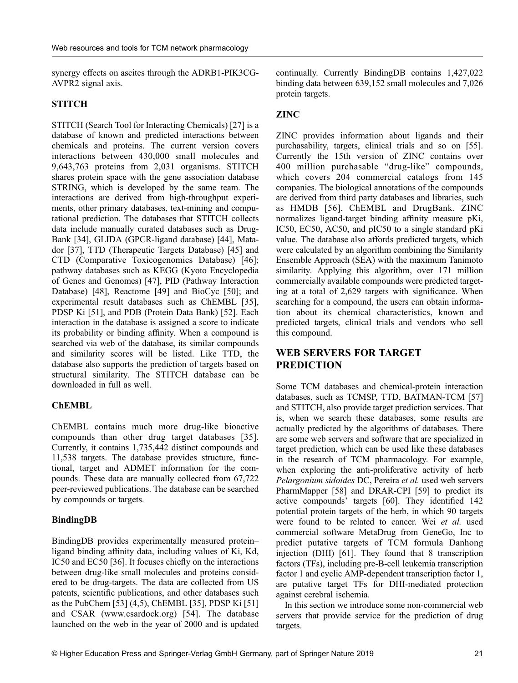synergy effects on ascites through the ADRB1-PIK3CG-AVPR2 signal axis.

#### **STITCH**

STITCH (Search Tool for Interacting Chemicals) [[27](#page-10-0)] is a database of known and predicted interactions between chemicals and proteins. The current version covers interactions between 430,000 small molecules and 9,643,763 proteins from 2,031 organisms. STITCH shares protein space with the gene association database STRING, which is developed by the same team. The interactions are derived from high-throughput experiments, other primary databases, text-mining and computational prediction. The databases that STITCH collects data include manually curated databases such as Drug-Bank [\[34\]](#page-10-0), GLIDA (GPCR-ligand database) [\[44\]](#page-11-0), Matador [[37](#page-10-0)], TTD (Therapeutic Targets Database) [[45](#page-11-0)] and CTD (Comparative Toxicogenomics Database) [[46](#page-11-0)]; pathway databases such as KEGG (Kyoto Encyclopedia of Genes and Genomes) [[47](#page-11-0)], PID (Pathway Interaction Database) [\[48\]](#page-11-0), Reactome [\[49](#page-11-0)] and BioCyc [[50](#page-11-0)]; and experimental result databases such as ChEMBL [\[35\]](#page-10-0), PDSP Ki [[51](#page-11-0)], and PDB (Protein Data Bank) [\[52\]](#page-11-0). Each interaction in the database is assigned a score to indicate its probability or binding affinity. When a compound is searched via web of the database, its similar compounds and similarity scores will be listed. Like TTD, the database also supports the prediction of targets based on structural similarity. The STITCH database can be downloaded in full as well.

## ChEMBL

ChEMBL contains much more drug-like bioactive compounds than other drug target databases [[35](#page-10-0)]. Currently, it contains 1,735,442 distinct compounds and 11,538 targets. The database provides structure, functional, target and ADMET information for the compounds. These data are manually collected from 67,722 peer-reviewed publications. The database can be searched by compounds or targets.

#### BindingDB

BindingDB provides experimentally measured protein– ligand binding affinity data, including values of Ki, Kd, IC50 and EC50 [[36](#page-10-0)]. It focuses chiefly on the interactions between drug-like small molecules and proteins considered to be drug-targets. The data are collected from US patents, scientific publications, and other databases such as the PubChem [[53](#page-11-0)] (4,5), ChEMBL [\[35\]](#page-10-0), PDSP Ki [[51](#page-11-0)] and CSAR (www.csardock.org) [[54\]](#page-11-0). The database launched on the web in the year of 2000 and is updated continually. Currently BindingDB contains 1,427,022 binding data between 639,152 small molecules and 7,026 protein targets.

## ZINC

ZINC provides information about ligands and their purchasability, targets, clinical trials and so on [\[55\]](#page-11-0). Currently the 15th version of ZINC contains over 400 million purchasable "drug-like" compounds, which covers 204 commercial catalogs from 145 companies. The biological annotations of the compounds are derived from third party databases and libraries, such as HMDB [[56](#page-11-0)], ChEMBL and DrugBank. ZINC normalizes ligand-target binding affinity measure pKi, IC50, EC50, AC50, and pIC50 to a single standard pKi value. The database also affords predicted targets, which were calculated by an algorithm combining the Similarity Ensemble Approach (SEA) with the maximum Tanimoto similarity. Applying this algorithm, over 171 million commercially available compounds were predicted targeting at a total of 2,629 targets with significance. When searching for a compound, the users can obtain information about its chemical characteristics, known and predicted targets, clinical trials and vendors who sell this compound.

# WEB SERVERS FOR TARGET PREDICTION

Some TCM databases and chemical-protein interaction databases, such as TCMSP, TTD, BATMAN-TCM [[57](#page-11-0)] and STITCH, also provide target prediction services. That is, when we search these databases, some results are actually predicted by the algorithms of databases. There are some web servers and software that are specialized in target prediction, which can be used like these databases in the research of TCM pharmacology. For example, when exploring the anti-proliferative activity of herb Pelargonium sidoides DC, Pereira et al. used web servers PharmMapper [\[58](#page-11-0)] and DRAR-CPI [[59](#page-11-0)] to predict its active compounds' targets [[60](#page-11-0)]. They identified 142 potential protein targets of the herb, in which 90 targets were found to be related to cancer. Wei et al. used commercial software MetaDrug from GeneGo, Inc to predict putative targets of TCM formula Danhong injection (DHI) [\[61\]](#page-11-0). They found that 8 transcription factors (TFs), including pre-B-cell leukemia transcription factor 1 and cyclic AMP-dependent transcription factor 1, are putative target TFs for DHI-mediated protection against cerebral ischemia.

In this section we introduce some non-commercial web servers that provide service for the prediction of drug targets.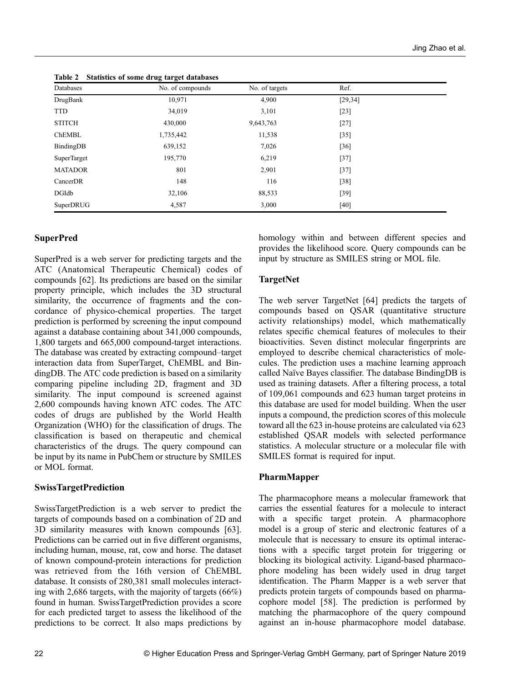| Databases      | $\circ$<br>$\circ$<br>No. of compounds | No. of targets | Ref.     |  |
|----------------|----------------------------------------|----------------|----------|--|
| DrugBank       | 10,971                                 | 4,900          | [29, 34] |  |
| <b>TTD</b>     | 34,019                                 | 3,101          | $[23]$   |  |
| <b>STITCH</b>  | 430,000                                | 9,643,763      | $[27]$   |  |
| ChEMBL         | 1,735,442                              | 11,538         | $[35]$   |  |
| BindingDB      | 639,152                                | 7,026          | $[36]$   |  |
| SuperTarget    | 195,770                                | 6,219          | $[37]$   |  |
| <b>MATADOR</b> | 801                                    | 2,901          | $[37]$   |  |
| CancerDR       | 148                                    | 116            | [38]     |  |
| DGIdb          | 32,106                                 | 88,533         | $[39]$   |  |
| SuperDRUG      | 4,587                                  | 3,000          | [40]     |  |

Table 2 Statistics of some drug target databases

#### SuperPred

SuperPred is a web server for predicting targets and the ATC (Anatomical Therapeutic Chemical) codes of compounds [\[62\]](#page-11-0). Its predictions are based on the similar property principle, which includes the 3D structural similarity, the occurrence of fragments and the concordance of physico-chemical properties. The target prediction is performed by screening the input compound against a database containing about 341,000 compounds, 1,800 targets and 665,000 compound-target interactions. The database was created by extracting compound–target interaction data from SuperTarget, ChEMBL and BindingDB. The ATC code prediction is based on a similarity comparing pipeline including 2D, fragment and 3D similarity. The input compound is screened against 2,600 compounds having known ATC codes. The ATC codes of drugs are published by the World Health Organization (WHO) for the classification of drugs. The classification is based on therapeutic and chemical characteristics of the drugs. The query compound can be input by its name in PubChem or structure by SMILES or MOL format.

#### SwissTargetPrediction

SwissTargetPrediction is a web server to predict the targets of compounds based on a combination of 2D and 3D similarity measures with known compounds [\[63\]](#page-11-0). Predictions can be carried out in five different organisms, including human, mouse, rat, cow and horse. The dataset of known compound-protein interactions for prediction was retrieved from the 16th version of ChEMBL database. It consists of 280,381 small molecules interacting with 2,686 targets, with the majority of targets (66%) found in human. SwissTargetPrediction provides a score for each predicted target to assess the likelihood of the predictions to be correct. It also maps predictions by homology within and between different species and provides the likelihood score. Query compounds can be input by structure as SMILES string or MOL file.

#### TargetNet

The web server TargetNet [[64](#page-11-0)] predicts the targets of compounds based on QSAR (quantitative structure activity relationships) model, which mathematically relates specific chemical features of molecules to their bioactivities. Seven distinct molecular fingerprints are employed to describe chemical characteristics of molecules. The prediction uses a machine learning approach called Naïve Bayes classifier. The database BindingDB is used as training datasets. After a filtering process, a total of 109,061 compounds and 623 human target proteins in this database are used for model building. When the user inputs a compound, the prediction scores of this molecule toward all the 623 in-house proteins are calculated via 623 established QSAR models with selected performance statistics. A molecular structure or a molecular file with SMILES format is required for input.

#### PharmMapper

The pharmacophore means a molecular framework that carries the essential features for a molecule to interact with a specific target protein. A pharmacophore model is a group of steric and electronic features of a molecule that is necessary to ensure its optimal interactions with a specific target protein for triggering or blocking its biological activity. Ligand-based pharmacophore modeling has been widely used in drug target identification. The Pharm Mapper is a web server that predicts protein targets of compounds based on pharmacophore model [[58](#page-11-0)]. The prediction is performed by matching the pharmacophore of the query compound against an in-house pharmacophore model database.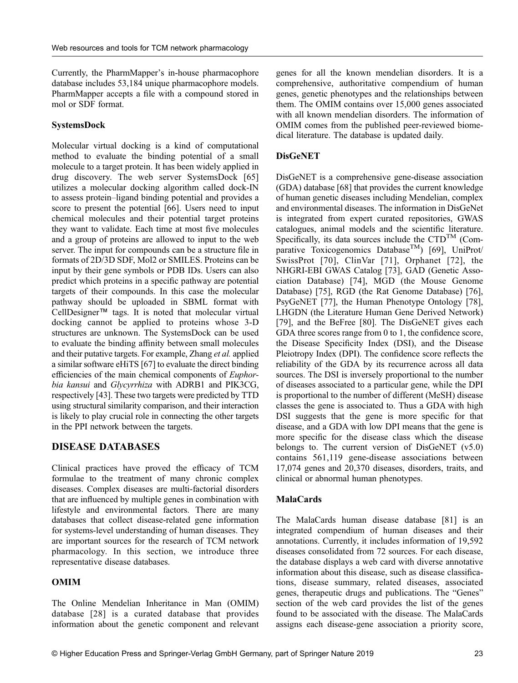Currently, the PharmMapper's in-house pharmacophore database includes 53,184 unique pharmacophore models. PharmMapper accepts a file with a compound stored in mol or SDF format.

#### SystemsDock

Molecular virtual docking is a kind of computational method to evaluate the binding potential of a small molecule to a target protein. It has been widely applied in drug discovery. The web server SystemsDock [[65](#page-11-0)] utilizes a molecular docking algorithm called dock-IN to assess protein–ligand binding potential and provides a score to present the potential [\[66\]](#page-11-0). Users need to input chemical molecules and their potential target proteins they want to validate. Each time at most five molecules and a group of proteins are allowed to input to the web server. The input for compounds can be a structure file in formats of 2D/3D SDF, Mol2 or SMILES. Proteins can be input by their gene symbols or PDB IDs. Users can also predict which proteins in a specific pathway are potential targets of their compounds. In this case the molecular pathway should be uploaded in SBML format with CellDesigner™ tags. It is noted that molecular virtual docking cannot be applied to proteins whose 3-D structures are unknown. The SystemsDock can be used to evaluate the binding affinity between small molecules and their putative targets. For example, Zhang et al. applied a similar software eHiTS [\[67](#page-11-0)] to evaluate the direct binding efficiencies of the main chemical components of Euphorbia kansui and Glycyrrhiza with ADRB1 and PIK3CG, respectively [\[43\]](#page-11-0). These two targets were predicted by TTD using structural similarity comparison, and their interaction is likely to play crucial role in connecting the other targets in the PPI network between the targets.

## DISEASE DATABASES

Clinical practices have proved the efficacy of TCM formulae to the treatment of many chronic complex diseases. Complex diseases are multi-factorial disorders that are influenced by multiple genes in combination with lifestyle and environmental factors. There are many databases that collect disease-related gene information for systems-level understanding of human diseases. They are important sources for the research of TCM network pharmacology. In this section, we introduce three representative disease databases.

## OMIM

The Online Mendelian Inheritance in Man (OMIM) database [\[28](#page-10-0)] is a curated database that provides information about the genetic component and relevant

genes for all the known mendelian disorders. It is a comprehensive, authoritative compendium of human genes, genetic phenotypes and the relationships between them. The OMIM contains over 15,000 genes associated with all known mendelian disorders. The information of OMIM comes from the published peer-reviewed biomedical literature. The database is updated daily.

#### DisGeNET

DisGeNET is a comprehensive gene-disease association (GDA) database [[68](#page-11-0)] that provides the current knowledge of human genetic diseases including Mendelian, complex and environmental diseases. The information in DisGeNet is integrated from expert curated repositories, GWAS catalogues, animal models and the scientific literature. Specifically, its data sources include the  $CTD^{TM}$  (Com-parative Toxicogenomics Database<sup>TM</sup>) [[69](#page-11-0)], UniProt/ SwissProt [[70](#page-12-0)], ClinVar [[71\]](#page-12-0), Orphanet [[72\]](#page-12-0), the NHGRI-EBI GWAS Catalog [\[73\]](#page-12-0), GAD (Genetic Association Database) [[74\]](#page-12-0), MGD (the Mouse Genome Database) [\[75\]](#page-12-0), RGD (the Rat Genome Database) [\[76\]](#page-12-0), PsyGeNET [\[77\]](#page-12-0), the Human Phenotype Ontology [\[78\]](#page-12-0), LHGDN (the Literature Human Gene Derived Network) [[79](#page-12-0)], and the BeFree [[80](#page-12-0)]. The DisGeNET gives each GDA three scores range from 0 to 1, the confidence score, the Disease Specificity Index (DSI), and the Disease Pleiotropy Index (DPI). The confidence score reflects the reliability of the GDA by its recurrence across all data sources. The DSI is inversely proportional to the number of diseases associated to a particular gene, while the DPI is proportional to the number of different (MeSH) disease classes the gene is associated to. Thus a GDA with high DSI suggests that the gene is more specific for that disease, and a GDA with low DPI means that the gene is more specific for the disease class which the disease belongs to. The current version of DisGeNET (v5.0) contains 561,119 gene-disease associations between 17,074 genes and 20,370 diseases, disorders, traits, and clinical or abnormal human phenotypes.

## MalaCards

The MalaCards human disease database [\[81\]](#page-12-0) is an integrated compendium of human diseases and their annotations. Currently, it includes information of 19,592 diseases consolidated from 72 sources. For each disease, the database displays a web card with diverse annotative information about this disease, such as disease classifications, disease summary, related diseases, associated genes, therapeutic drugs and publications. The "Genes" section of the web card provides the list of the genes found to be associated with the disease. The MalaCards assigns each disease-gene association a priority score,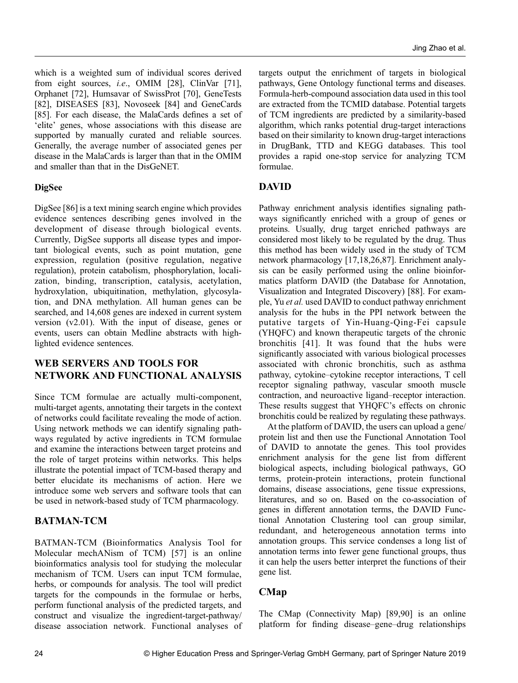which is a weighted sum of individual scores derived from eight sources, i.e., OMIM [[28](#page-10-0)], ClinVar [\[71\]](#page-12-0), Orphanet [[72](#page-12-0)], Humsavar of SwissProt [\[70\]](#page-12-0), GeneTests [\[82\]](#page-12-0), DISEASES [\[83\]](#page-12-0), Novoseek [[84](#page-12-0)] and GeneCards [\[85\]](#page-12-0). For each disease, the MalaCards defines a set of 'elite' genes, whose associations with this disease are supported by manually curated and reliable sources. Generally, the average number of associated genes per disease in the MalaCards is larger than that in the OMIM and smaller than that in the DisGeNET.

#### DigSee

DigSee [[86](#page-12-0)] is a text mining search engine which provides evidence sentences describing genes involved in the development of disease through biological events. Currently, DigSee supports all disease types and important biological events, such as point mutation, gene expression, regulation (positive regulation, negative regulation), protein catabolism, phosphorylation, localization, binding, transcription, catalysis, acetylation, hydroxylation, ubiquitination, methylation, glycosylation, and DNA methylation. All human genes can be searched, and 14,608 genes are indexed in current system version (v2.01). With the input of disease, genes or events, users can obtain Medline abstracts with highlighted evidence sentences.

# WEB SERVERS AND TOOLS FOR NETWORK AND FUNCTIONAL ANALYSIS

Since TCM formulae are actually multi-component, multi-target agents, annotating their targets in the context of networks could facilitate revealing the mode of action. Using network methods we can identify signaling pathways regulated by active ingredients in TCM formulae and examine the interactions between target proteins and the role of target proteins within networks. This helps illustrate the potential impact of TCM-based therapy and better elucidate its mechanisms of action. Here we introduce some web servers and software tools that can be used in network-based study of TCM pharmacology.

#### BATMAN-TCM

BATMAN-TCM (Bioinformatics Analysis Tool for Molecular mechANism of TCM) [[57](#page-11-0)] is an online bioinformatics analysis tool for studying the molecular mechanism of TCM. Users can input TCM formulae, herbs, or compounds for analysis. The tool will predict targets for the compounds in the formulae or herbs, perform functional analysis of the predicted targets, and construct and visualize the ingredient-target-pathway/ disease association network. Functional analyses of targets output the enrichment of targets in biological pathways, Gene Ontology functional terms and diseases. Formula-herb-compound association data used in this tool are extracted from the TCMID database. Potential targets of TCM ingredients are predicted by a similarity-based algorithm, which ranks potential drug-target interactions based on their similarity to known drug-target interactions in DrugBank, TTD and KEGG databases. This tool provides a rapid one-stop service for analyzing TCM formulae.

#### DAVID

Pathway enrichment analysis identifies signaling pathways significantly enriched with a group of genes or proteins. Usually, drug target enriched pathways are considered most likely to be regulated by the drug. Thus this method has been widely used in the study of TCM network pharmacology [\[17,18,26](#page-10-0)[,87\]](#page-12-0). Enrichment analysis can be easily performed using the online bioinformatics platform DAVID (the Database for Annotation, Visualization and Integrated Discovery) [\[88\]](#page-12-0). For example, Yu et al. used DAVID to conduct pathway enrichment analysis for the hubs in the PPI network between the putative targets of Yin-Huang-Qing-Fei capsule (YHQFC) and known therapeutic targets of the chronic bronchitis [\[41](#page-10-0)]. It was found that the hubs were significantly associated with various biological processes associated with chronic bronchitis, such as asthma pathway, cytokine–cytokine receptor interactions, T cell receptor signaling pathway, vascular smooth muscle contraction, and neuroactive ligand–receptor interaction. These results suggest that YHQFC's effects on chronic bronchitis could be realized by regulating these pathways.

At the platform of DAVID, the users can upload a gene/ protein list and then use the Functional Annotation Tool of DAVID to annotate the genes. This tool provides enrichment analysis for the gene list from different biological aspects, including biological pathways, GO terms, protein-protein interactions, protein functional domains, disease associations, gene tissue expressions, literatures, and so on. Based on the co-association of genes in different annotation terms, the DAVID Functional Annotation Clustering tool can group similar, redundant, and heterogeneous annotation terms into annotation groups. This service condenses a long list of annotation terms into fewer gene functional groups, thus it can help the users better interpret the functions of their gene list.

#### CMap

The CMap (Connectivity Map) [[89,90](#page-12-0)] is an online platform for finding disease–gene–drug relationships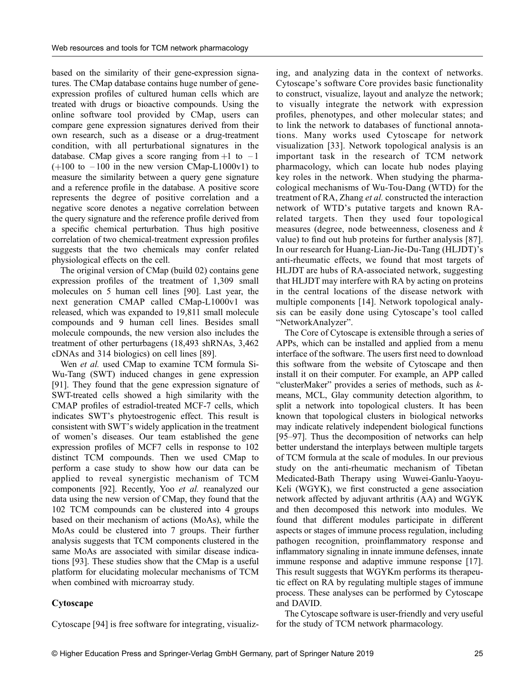based on the similarity of their gene-expression signatures. The CMap database contains huge number of geneexpression profiles of cultured human cells which are treated with drugs or bioactive compounds. Using the online software tool provided by CMap, users can compare gene expression signatures derived from their own research, such as a disease or a drug-treatment condition, with all perturbational signatures in the database. CMap gives a score ranging from  $+1$  to  $-1$  $(+100 \text{ to } -100 \text{ in the new version } CMap-L1000v1)$  to measure the similarity between a query gene signature and a reference profile in the database. A positive score represents the degree of positive correlation and a negative score denotes a negative correlation between the query signature and the reference profile derived from a specific chemical perturbation. Thus high positive correlation of two chemical-treatment expression profiles suggests that the two chemicals may confer related physiological effects on the cell.

The original version of CMap (build 02) contains gene expression profiles of the treatment of 1,309 small molecules on 5 human cell lines [[90](#page-12-0)]. Last year, the next generation CMAP called CMap-L1000v1 was released, which was expanded to 19,811 small molecule compounds and 9 human cell lines. Besides small molecule compounds, the new version also includes the treatment of other perturbagens (18,493 shRNAs, 3,462 cDNAs and 314 biologics) on cell lines [[89](#page-12-0)].

Wen et al. used CMap to examine TCM formula Si-Wu-Tang (SWT) induced changes in gene expression [[91](#page-12-0)]. They found that the gene expression signature of SWT-treated cells showed a high similarity with the CMAP profiles of estradiol-treated MCF-7 cells, which indicates SWT's phytoestrogenic effect. This result is consistent with SWT's widely application in the treatment of women's diseases. Our team established the gene expression profiles of MCF7 cells in response to 102 distinct TCM compounds. Then we used CMap to perform a case study to show how our data can be applied to reveal synergistic mechanism of TCM components [\[92\]](#page-12-0). Recently, Yoo et al. reanalyzed our data using the new version of CMap, they found that the 102 TCM compounds can be clustered into 4 groups based on their mechanism of actions (MoAs), while the MoAs could be clustered into 7 groups. Their further analysis suggests that TCM components clustered in the same MoAs are associated with similar disease indications [\[93\]](#page-12-0). These studies show that the CMap is a useful platform for elucidating molecular mechanisms of TCM when combined with microarray study.

#### Cytoscape

Cytoscape [[94\]](#page-12-0) is free software for integrating, visualiz-

ing, and analyzing data in the context of networks. Cytoscape's software Core provides basic functionality to construct, visualize, layout and analyze the network; to visually integrate the network with expression profiles, phenotypes, and other molecular states; and to link the network to databases of functional annotations. Many works used Cytoscape for network visualization [[33\]](#page-10-0). Network topological analysis is an important task in the research of TCM network pharmacology, which can locate hub nodes playing key roles in the network. When studying the pharmacological mechanisms of Wu-Tou-Dang (WTD) for the treatment of RA, Zhang et al. constructed the interaction network of WTD's putative targets and known RArelated targets. Then they used four topological measures (degree, node betweenness, closeness and  $k$ value) to find out hub proteins for further analysis [[87](#page-12-0)]. In our research for Huang-Lian-Jie-Du-Tang (HLJDT)'s anti-rheumatic effects, we found that most targets of HLJDT are hubs of RA-associated network, suggesting that HLJDT may interfere with RA by acting on proteins in the central locations of the disease network with multiple components [[14](#page-9-0)]. Network topological analysis can be easily done using Cytoscape's tool called "NetworkAnalyzer".

The Core of Cytoscape is extensible through a series of APPs, which can be installed and applied from a menu interface of the software. The users first need to download this software from the website of Cytoscape and then install it on their computer. For example, an APP called "clusterMaker" provides a series of methods, such as kmeans, MCL, Glay community detection algorithm, to split a network into topological clusters. It has been known that topological clusters in biological networks may indicate relatively independent biological functions [[95](#page-12-0)–[97\]](#page-12-0). Thus the decomposition of networks can help better understand the interplays between multiple targets of TCM formula at the scale of modules. In our previous study on the anti-rheumatic mechanism of Tibetan Medicated-Bath Therapy using Wuwei-Ganlu-Yaoyu-Keli (WGYK), we first constructed a gene association network affected by adjuvant arthritis (AA) and WGYK and then decomposed this network into modules. We found that different modules participate in different aspects or stages of immune process regulation, including pathogen recognition, proinflammatory response and inflammatory signaling in innate immune defenses, innate immune response and adaptive immune response [\[17\]](#page-10-0). This result suggests that WGYKm performs its therapeutic effect on RA by regulating multiple stages of immune process. These analyses can be performed by Cytoscape and DAVID.

The Cytoscape software is user-friendly and very useful for the study of TCM network pharmacology.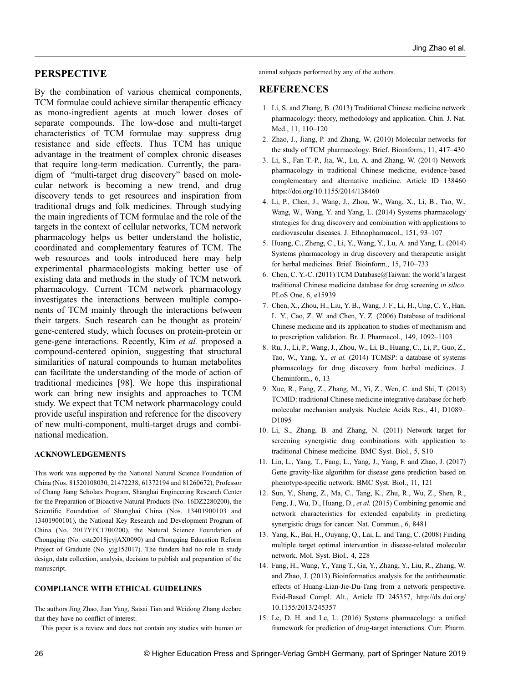## <span id="page-9-0"></span>PERSPECTIVE

By the combination of various chemical components, TCM formulae could achieve similar therapeutic efficacy as mono-ingredient agents at much lower doses of separate compounds. The low-dose and multi-target characteristics of TCM formulae may suppress drug resistance and side effects. Thus TCM has unique advantage in the treatment of complex chronic diseases that require long-term medication. Currently, the paradigm of "multi-target drug discovery" based on molecular network is becoming a new trend, and drug discovery tends to get resources and inspiration from traditional drugs and folk medicines. Through studying the main ingredients of TCM formulae and the role of the targets in the context of cellular networks, TCM network pharmacology helps us better understand the holistic, coordinated and complementary features of TCM. The web resources and tools introduced here may help experimental pharmacologists making better use of existing data and methods in the study of TCM network pharmacology. Current TCM network pharmacology investigates the interactions between multiple components of TCM mainly through the interactions between their targets. Such research can be thought as protein/ gene-centered study, which focuses on protein-protein or gene-gene interactions. Recently, Kim et al. proposed a compound-centered opinion, suggesting that structural similarities of natural compounds to human metabolites can facilitate the understanding of the mode of action of traditional medicines [[98](#page-12-0)]. We hope this inspirational work can bring new insights and approaches to TCM study. We expect that TCM network pharmacology could provide useful inspiration and reference for the discovery of new multi-component, multi-target drugs and combinational medication.

#### ACKNOWLEDGEMENTS

This work was supported by the National Natural Science Foundation of China (Nos. 81520108030, 21472238, 61372194 and 81260672), Professor of Chang Jiang Scholars Program, Shanghai Engineering Research Center for the Preparation of Bioactive Natural Products (No. 16DZ2280200), the Scientific Foundation of Shanghai China (Nos. 13401900103 and 13401900101), the National Key Research and Development Program of China (No. 2017YFC1700200), the Natural Science Foundation of Chongqing (No. cstc2018jcyjAX0090) and Chongqing Education Reform Project of Graduate (No. yjg152017). The funders had no role in study design, data collection, analysis, decision to publish and preparation of the manuscript.

#### COMPLIANCE WITH ETHICAL GUIDELINES

The authors Jing Zhao, Jian Yang, Saisai Tian and Weidong Zhang declare that they have no conflict of interest.

This paper is a review and does not contain any studies with human or

animal subjects performed by any of the authors.

#### REFERENCES

- 1. Li, S. and Zhang, B. (2013) Traditional Chinese medicine network pharmacology: theory, methodology and application. Chin. J. Nat. Med., 11, 110–120
- 2. Zhao, J., Jiang, P. and Zhang, W. (2010) Molecular networks for the study of TCM pharmacology. Brief. Bioinform., 11, 417–430
- 3. Li, S., Fan T.-P., Jia, W., Lu, A. and Zhang, W. (2014) Network pharmacology in traditional Chinese medicine, evidence-based complementary and alternative medicine. Article ID 138460 https://doi.org/10.1155/2014/138460
- 4. Li, P., Chen, J., Wang, J., Zhou, W., Wang, X., Li, B., Tao, W., Wang, W., Wang, Y. and Yang, L. (2014) Systems pharmacology strategies for drug discovery and combination with applications to cardiovascular diseases. J. Ethnopharmacol., 151, 93–107
- 5. Huang, C., Zheng, C., Li, Y., Wang, Y., Lu, A. and Yang, L. (2014) Systems pharmacology in drug discovery and therapeutic insight for herbal medicines. Brief. Bioinform., 15, 710–733
- 6. Chen, C. Y.-C. (2011) TCM Database@Taiwan: the world's largest traditional Chinese medicine database for drug screening in silico. PLoS One, 6, e15939
- 7. Chen, X., Zhou, H., Liu, Y. B., Wang, J. F., Li, H., Ung, C. Y., Han, L. Y., Cao, Z. W. and Chen, Y. Z. (2006) Database of traditional Chinese medicine and its application to studies of mechanism and to prescription validation. Br. J. Pharmacol., 149, 1092–1103
- 8. Ru, J., Li, P., Wang, J., Zhou, W., Li, B., Huang, C., Li, P., Guo, Z., Tao, W., Yang, Y., et al. (2014) TCMSP: a database of systems pharmacology for drug discovery from herbal medicines. J. Cheminform., 6, 13
- 9. Xue, R., Fang, Z., Zhang, M., Yi, Z., Wen, C. and Shi, T. (2013) TCMID: traditional Chinese medicine integrative database for herb molecular mechanism analysis. Nucleic Acids Res., 41, D1089– D1095
- 10. Li, S., Zhang, B. and Zhang, N. (2011) Network target for screening synergistic drug combinations with application to traditional Chinese medicine. BMC Syst. Biol., 5, S10
- 11. Lin, L., Yang, T., Fang, L., Yang, J., Yang, F. and Zhao, J. (2017) Gene gravity-like algorithm for disease gene prediction based on phenotype-specific network. BMC Syst. Biol., 11, 121
- 12. Sun, Y., Sheng, Z., Ma, C., Tang, K., Zhu, R., Wu, Z., Shen, R., Feng, J., Wu, D., Huang, D., et al. (2015) Combining genomic and network characteristics for extended capability in predicting synergistic drugs for cancer. Nat. Commun., 6, 8481
- 13. Yang, K., Bai, H., Ouyang, Q., Lai, L. and Tang, C. (2008) Finding multiple target optimal intervention in disease-related molecular network. Mol. Syst. Biol., 4, 228
- 14. Fang, H., Wang, Y., Yang T., Ga, Y., Zhang, Y., Liu, R., Zhang, W. and Zhao, J. (2013) Bioinformatics analysis for the antirheumatic effects of Huang-Lian-Jie-Du-Tang from a network perspective. Evid-Based Compl. Alt., Article ID 245357, http://dx.doi.org/ 10.1155/2013/245357
- 15. Le, D. H. and Le, L. (2016) Systems pharmacology: a unified framework for prediction of drug-target interactions. Curr. Pharm.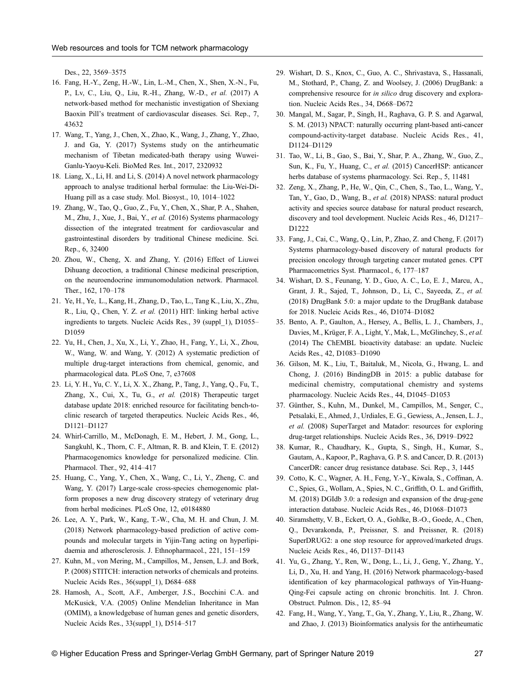<span id="page-10-0"></span>Des., 22, 3569–3575

- 16. Fang, H.-Y., Zeng, H.-W., Lin, L.-M., Chen, X., Shen, X.-N., Fu, P., Lv, C., Liu, Q., Liu, R.-H., Zhang, W.-D., et al. (2017) A network-based method for mechanistic investigation of Shexiang Baoxin Pill's treatment of cardiovascular diseases. Sci. Rep., 7, 43632
- 17. Wang, T., Yang, J., Chen, X., Zhao, K., Wang, J., Zhang, Y., Zhao, J. and Ga, Y. (2017) Systems study on the antirheumatic mechanism of Tibetan medicated-bath therapy using Wuwei-Ganlu-Yaoyu-Keli. BioMed Res. Int., 2017, 2320932
- 18. Liang, X., Li, H. and Li, S. (2014) A novel network pharmacology approach to analyse traditional herbal formulae: the Liu-Wei-Di-Huang pill as a case study. Mol. Biosyst., 10, 1014–1022
- 19. Zhang, W., Tao, Q., Guo, Z., Fu, Y., Chen, X., Shar, P. A., Shahen, M., Zhu, J., Xue, J., Bai, Y., et al. (2016) Systems pharmacology dissection of the integrated treatment for cardiovascular and gastrointestinal disorders by traditional Chinese medicine. Sci. Rep., 6, 32400
- 20. Zhou, W., Cheng, X. and Zhang, Y. (2016) Effect of Liuwei Dihuang decoction, a traditional Chinese medicinal prescription, on the neuroendocrine immunomodulation network. Pharmacol. Ther., 162, 170–178
- 21. Ye, H., Ye, L., Kang, H., Zhang, D., Tao, L., Tang K., Liu, X., Zhu, R., Liu, Q., Chen, Y. Z. et al. (2011) HIT: linking herbal active ingredients to targets. Nucleic Acids Res., 39 (suppl\_1), D1055– D<sub>1059</sub>
- 22. Yu, H., Chen, J., Xu, X., Li, Y., Zhao, H., Fang, Y., Li, X., Zhou, W., Wang, W. and Wang, Y. (2012) A systematic prediction of multiple drug-target interactions from chemical, genomic, and pharmacological data. PLoS One, 7, e37608
- 23. Li, Y. H., Yu, C. Y., Li, X. X., Zhang, P., Tang, J., Yang, Q., Fu, T., Zhang, X., Cui, X., Tu, G., et al. (2018) Therapeutic target database update 2018: enriched resource for facilitating bench-toclinic research of targeted therapeutics. Nucleic Acids Res., 46, D1121–D1127
- 24. Whirl-Carrillo, M., McDonagh, E. M., Hebert, J. M., Gong, L., Sangkuhl, K., Thorn, C. F., Altman, R. B. and Klein, T. E. (2012) Pharmacogenomics knowledge for personalized medicine. Clin. Pharmacol. Ther., 92, 414–417
- 25. Huang, C., Yang, Y., Chen, X., Wang, C., Li, Y., Zheng, C. and Wang, Y. (2017) Large-scale cross-species chemogenomic platform proposes a new drug discovery strategy of veterinary drug from herbal medicines. PLoS One, 12, e0184880
- 26. Lee, A. Y., Park, W., Kang, T.-W., Cha, M. H. and Chun, J. M. (2018) Network pharmacology-based prediction of active compounds and molecular targets in Yijin-Tang acting on hyperlipidaemia and atherosclerosis. J. Ethnopharmacol., 221, 151–159
- 27. Kuhn, M., von Mering, M., Campillos, M., Jensen, L.J. and Bork, P. (2008) STITCH: interaction networks of chemicals and proteins. Nucleic Acids Res., 36(suppl\_1), D684–688
- 28. Hamosh, A., Scott, A.F., Amberger, J.S., Bocchini C.A. and McKusick, V.A. (2005) Online Mendelian Inheritance in Man (OMIM), a knowledgebase of human genes and genetic disorders, Nucleic Acids Res., 33(suppl\_1), D514–517
- 29. Wishart, D. S., Knox, C., Guo, A. C., Shrivastava, S., Hassanali, M., Stothard, P., Chang, Z. and Woolsey, J. (2006) DrugBank: a comprehensive resource for in silico drug discovery and exploration. Nucleic Acids Res., 34, D668–D672
- 30. Mangal, M., Sagar, P., Singh, H., Raghava, G. P. S. and Agarwal, S. M. (2013) NPACT: naturally occurring plant-based anti-cancer compound-activity-target database. Nucleic Acids Res., 41, D1124–D1129
- 31. Tao, W., Li, B., Gao, S., Bai, Y., Shar, P. A., Zhang, W., Guo, Z., Sun, K., Fu, Y., Huang, C., et al. (2015) CancerHSP: anticancer herbs database of systems pharmacology. Sci. Rep., 5, 11481
- 32. Zeng, X., Zhang, P., He, W., Qin, C., Chen, S., Tao, L., Wang, Y., Tan, Y., Gao, D., Wang, B., et al. (2018) NPASS: natural product activity and species source database for natural product research, discovery and tool development. Nucleic Acids Res., 46, D1217– D1222
- 33. Fang, J., Cai, C., Wang, Q., Lin, P., Zhao, Z. and Cheng, F. (2017) Systems pharmacology-based discovery of natural products for precision oncology through targeting cancer mutated genes. CPT Pharmacometrics Syst. Pharmacol., 6, 177–187
- 34. Wishart, D. S., Feunang, Y. D., Guo, A. C., Lo, E. J., Marcu, A., Grant, J. R., Sajed, T., Johnson, D., Li, C., Sayeeda, Z., et al. (2018) DrugBank 5.0: a major update to the DrugBank database for 2018. Nucleic Acids Res., 46, D1074–D1082
- 35. Bento, A. P., Gaulton, A., Hersey, A., Bellis, L. J., Chambers, J., Davies, M., Krüger, F. A., Light, Y., Mak, L., McGlinchey, S., et al. (2014) The ChEMBL bioactivity database: an update. Nucleic Acids Res., 42, D1083–D1090
- 36. Gilson, M. K., Liu, T., Baitaluk, M., Nicola, G., Hwang, L. and Chong, J. (2016) BindingDB in 2015: a public database for medicinal chemistry, computational chemistry and systems pharmacology. Nucleic Acids Res., 44, D1045–D1053
- 37. Günther, S., Kuhn, M., Dunkel, M., Campillos, M., Senger, C., Petsalaki, E., Ahmed, J., Urdiales, E. G., Gewiess, A., Jensen, L. J., et al. (2008) SuperTarget and Matador: resources for exploring drug-target relationships. Nucleic Acids Res., 36, D919–D922
- 38. Kumar, R., Chaudhary, K., Gupta, S., Singh, H., Kumar, S., Gautam, A., Kapoor, P., Raghava, G. P. S. and Cancer, D. R. (2013) CancerDR: cancer drug resistance database. Sci. Rep., 3, 1445
- 39. Cotto, K. C., Wagner, A. H., Feng, Y.-Y., Kiwala, S., Coffman, A. C., Spies, G., Wollam, A., Spies, N. C., Griffith, O. L. and Griffith, M. (2018) DGIdb 3.0: a redesign and expansion of the drug-gene interaction database. Nucleic Acids Res., 46, D1068–D1073
- 40. Siramshetty, V. B., Eckert, O. A., Gohlke, B.-O., Goede, A., Chen, Q., Devarakonda, P., Preissner, S. and Preissner, R. (2018) SuperDRUG2: a one stop resource for approved/marketed drugs. Nucleic Acids Res., 46, D1137–D1143
- 41. Yu, G., Zhang, Y., Ren, W., Dong, L., Li, J., Geng, Y., Zhang, Y., Li, D., Xu, H. and Yang, H. (2016) Network pharmacology-based identification of key pharmacological pathways of Yin-Huang-Qing-Fei capsule acting on chronic bronchitis. Int. J. Chron. Obstruct. Pulmon. Dis., 12, 85–94
- 42. Fang, H., Wang, Y., Yang, T., Ga, Y., Zhang, Y., Liu, R., Zhang, W. and Zhao, J. (2013) Bioinformatics analysis for the antirheumatic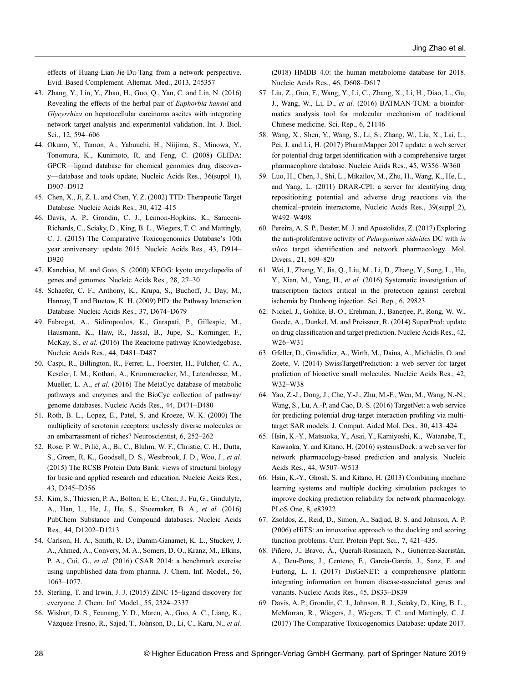<span id="page-11-0"></span>effects of Huang-Lian-Jie-Du-Tang from a network perspective. Evid. Based Complement. Alternat. Med., 2013, 245357

- 43. Zhang, Y., Lin, Y., Zhao, H., Guo, Q., Yan, C. and Lin, N. (2016) Revealing the effects of the herbal pair of Euphorbia kansui and Glycyrrhiza on hepatocellular carcinoma ascites with integrating network target analysis and experimental validation. Int. J. Biol. Sci., 12, 594–606
- 44. Okuno, Y., Tamon, A., Yabuuchi, H., Niijima, S., Minowa, Y., Tonomura, K., Kunimoto, R. and Feng, C. (2008) GLIDA: GPCR—ligand database for chemical genomics drug discovery—database and tools update, Nucleic Acids Res., 36(suppl\_1), D907–D912
- 45. Chen, X., Ji, Z. L. and Chen, Y. Z. (2002) TTD: Therapeutic Target Database. Nucleic Acids Res., 30, 412–415
- 46. Davis, A. P., Grondin, C. J., Lennon-Hopkins, K., Saraceni-Richards, C., Sciaky, D., King, B. L., Wiegers, T. C. and Mattingly, C. J. (2015) The Comparative Toxicogenomics Database's 10th year anniversary: update 2015. Nucleic Acids Res., 43, D914– D920
- 47. Kanehisa, M. and Goto, S. (2000) KEGG: kyoto encyclopedia of genes and genomes. Nucleic Acids Res., 28, 27–30
- 48. Schaefer, C. F., Anthony, K., Krupa, S., Buchoff, J., Day, M., Hannay, T. and Buetow, K. H. (2009) PID: the Pathway Interaction Database. Nucleic Acids Res., 37, D674–D679
- 49. Fabregat, A., Sidiropoulos, K., Garapati, P., Gillespie, M., Hausmann, K., Haw, R., Jassal, B., Jupe, S., Korninger, F., McKay, S., et al. (2016) The Reactome pathway Knowledgebase. Nucleic Acids Res., 44, D481–D487
- 50. Caspi, R., Billington, R., Ferrer, L., Foerster, H., Fulcher, C. A., Keseler, I. M., Kothari, A., Krummenacker, M., Latendresse, M., Mueller, L. A., et al. (2016) The MetaCyc database of metabolic pathways and enzymes and the BioCyc collection of pathway/ genome databases. Nucleic Acids Res., 44, D471–D480
- 51. Roth, B. L., Lopez, E., Patel, S. and Kroeze, W. K. (2000) The multiplicity of serotonin receptors: uselessly diverse molecules or an embarrassment of riches? Neuroscientist, 6, 252–262
- 52. Rose, P. W., Prlić, A., Bi, C., Bluhm, W. F., Christie, C. H., Dutta, S., Green, R. K., Goodsell, D. S., Westbrook, J. D., Woo, J., et al. (2015) The RCSB Protein Data Bank: views of structural biology for basic and applied research and education. Nucleic Acids Res., 43, D345–D356
- 53. Kim, S., Thiessen, P. A., Bolton, E. E., Chen, J., Fu, G., Gindulyte, A., Han, L., He, J., He, S., Shoemaker, B. A., et al. (2016) PubChem Substance and Compound databases. Nucleic Acids Res., 44, D1202–D1213
- 54. Carlson, H. A., Smith, R. D., Damm-Ganamet, K. L., Stuckey, J. A., Ahmed, A., Convery, M. A., Somers, D. O., Kranz, M., Elkins, P. A., Cui, G., et al. (2016) CSAR 2014: a benchmark exercise using unpublished data from pharma. J. Chem. Inf. Model., 56, 1063–1077.
- 55. Sterling, T. and Irwin, J. J. (2015) ZINC 15–ligand discovery for everyone. J. Chem. Inf. Model., 55, 2324–2337
- 56. Wishart, D. S., Feunang, Y. D., Marcu, A., Guo, A. C., Liang, K., Vázquez-Fresno, R., Sajed, T., Johnson, D., Li, C., Karu, N., et al.

(2018) HMDB 4.0: the human metabolome database for 2018. Nucleic Acids Res., 46, D608–D617

- 57. Liu, Z., Guo, F., Wang, Y., Li, C., Zhang, X., Li, H., Diao, L., Gu, J., Wang, W., Li, D., et al. (2016) BATMAN-TCM: a bioinformatics analysis tool for molecular mechanism of traditional Chinese medicine. Sci. Rep., 6, 21146
- 58. Wang, X., Shen, Y., Wang, S., Li, S., Zhang, W., Liu, X., Lai, L., Pei, J. and Li, H. (2017) PharmMapper 2017 update: a web server for potential drug target identification with a comprehensive target pharmacophore database. Nucleic Acids Res., 45, W356–W360
- 59. Luo, H., Chen, J., Shi, L., Mikailov, M., Zhu, H., Wang, K., He, L., and Yang, L. (2011) DRAR-CPI: a server for identifying drug repositioning potential and adverse drug reactions via the chemical–protein interactome, Nucleic Acids Res., 39(suppl\_2), W492–W498
- 60. Pereira, A. S. P., Bester, M. J. and Apostolides, Z. (2017) Exploring the anti-proliferative activity of Pelargonium sidoides DC with in silico target identification and network pharmacology. Mol. Divers., 21, 809–820
- 61. Wei, J., Zhang, Y., Jia, Q., Liu, M., Li, D., Zhang, Y., Song, L., Hu, Y., Xian, M., Yang, H., et al. (2016) Systematic investigation of transcription factors critical in the protection against cerebral ischemia by Danhong injection. Sci. Rep., 6, 29823
- 62. Nickel, J., Gohlke, B.-O., Erehman, J., Banerjee, P., Rong, W. W., Goede, A., Dunkel, M. and Preissner, R. (2014) SuperPred: update on drug classification and target prediction. Nucleic Acids Res., 42, W26–W31
- 63. Gfeller, D., Grosdidier, A., Wirth, M., Daina, A., Michielin, O. and Zoete, V. (2014) SwissTargetPrediction: a web server for target prediction of bioactive small molecules. Nucleic Acids Res., 42, W32–W38
- 64. Yao, Z.-J., Dong, J., Che, Y.-J., Zhu, M.-F., Wen, M., Wang, N.-N., Wang, S., Lu, A.-P. and Cao, D.-S. (2016) TargetNet: a web service for predicting potential drug-target interaction profiling via multitarget SAR models. J. Comput. Aided Mol. Des., 30, 413–424
- 65. Hsin, K.-Y., Matsuoka, Y., Asai, Y., Kamiyoshi, K., Watanabe, T., Kawaoka, Y. and Kitano, H. (2016) systemsDock: a web server for network pharmacology-based prediction and analysis. Nucleic Acids Res., 44, W507–W513
- 66. Hsin, K.-Y., Ghosh, S. and Kitano, H. (2013) Combining machine learning systems and multiple docking simulation packages to improve docking prediction reliability for network pharmacology. PLoS One, 8, e83922
- 67. Zsoldos, Z., Reid, D., Simon, A., Sadjad, B. S. and Johnson, A. P. (2006) eHiTS: an innovative approach to the docking and scoring function problems. Curr. Protein Pept. Sci., 7, 421–435.
- 68. Piñero, J., Bravo, À., Queralt-Rosinach, N., Gutiérrez-Sacristán, A., Deu-Pons, J., Centeno, E., García-García, J., Sanz, F. and Furlong, L. I. (2017) DisGeNET: a comprehensive platform integrating information on human disease-associated genes and variants. Nucleic Acids Res., 45, D833–D839
- 69. Davis, A. P., Grondin, C. J., Johnson, R. J., Sciaky, D., King, B. L., McMorran, R., Wiegers, J., Wiegers, T. C. and Mattingly, C. J. (2017) The Comparative Toxicogenomics Database: update 2017.